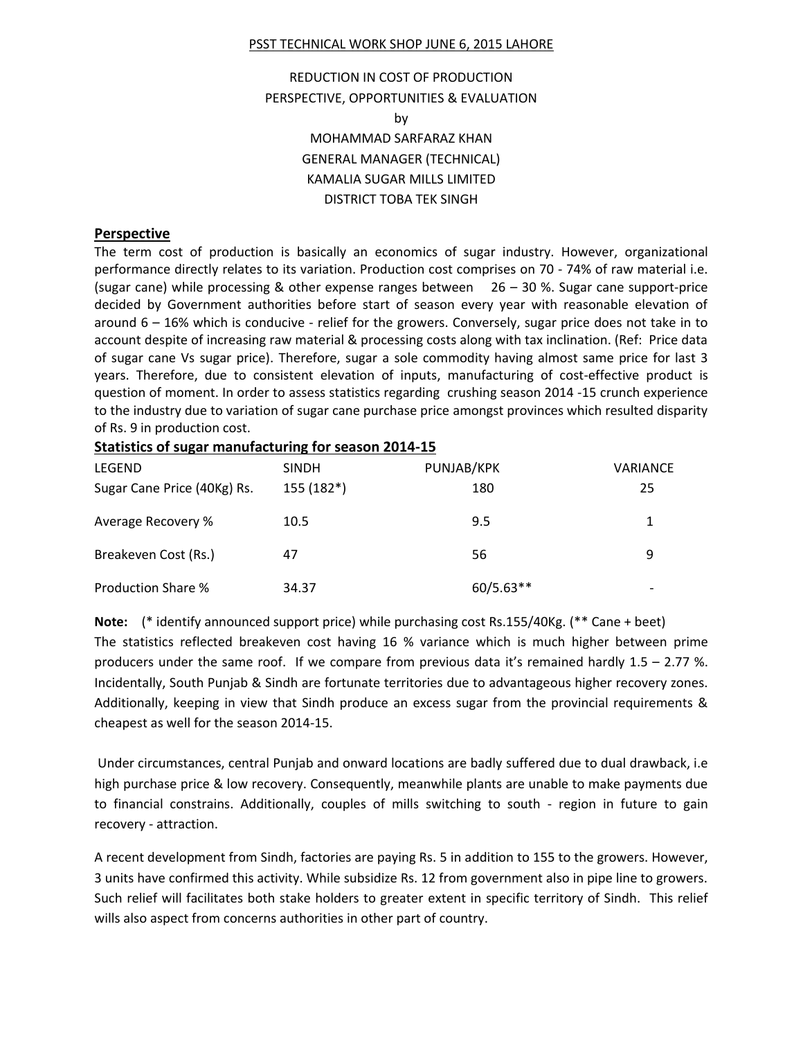#### PSST TECHNICAL WORK SHOP JUNE 6, 2015 LAHORE

# REDUCTION IN COST OF PRODUCTION PERSPECTIVE, OPPORTUNITIES & EVALUATION by MOHAMMAD SARFARAZ KHAN GENERAL MANAGER (TECHNICAL) KAMALIA SUGAR MILLS LIMITED DISTRICT TOBA TEK SINGH

#### **Perspective**

The term cost of production is basically an economics of sugar industry. However, organizational performance directly relates to its variation. Production cost comprises on 70 - 74% of raw material i.e. (sugar cane) while processing & other expense ranges between  $26 - 30$  %. Sugar cane support-price decided by Government authorities before start of season every year with reasonable elevation of around 6 – 16% which is conducive - relief for the growers. Conversely, sugar price does not take in to account despite of increasing raw material & processing costs along with tax inclination. (Ref: Price data of sugar cane Vs sugar price). Therefore, sugar a sole commodity having almost same price for last 3 years. Therefore, due to consistent elevation of inputs, manufacturing of cost-effective product is question of moment. In order to assess statistics regarding crushing season 2014 -15 crunch experience to the industry due to variation of sugar cane purchase price amongst provinces which resulted disparity of Rs. 9 in production cost.

#### **Statistics of sugar manufacturing for season 2014-15**

| LEGEND                      | <b>SINDH</b> | PUNJAB/KPK  | <b>VARIANCE</b> |
|-----------------------------|--------------|-------------|-----------------|
| Sugar Cane Price (40Kg) Rs. | 155 (182*)   | 180         | 25              |
| Average Recovery %          | 10.5         | 9.5         | 1.              |
| Breakeven Cost (Rs.)        | 47           | 56          | 9               |
| <b>Production Share %</b>   | 34.37        | $60/5.63**$ |                 |

**Note:** (\* identify announced support price) while purchasing cost Rs.155/40Kg. (\*\* Cane + beet) The statistics reflected breakeven cost having 16 % variance which is much higher between prime producers under the same roof. If we compare from previous data it's remained hardly 1.5 – 2.77 %. Incidentally, South Punjab & Sindh are fortunate territories due to advantageous higher recovery zones. Additionally, keeping in view that Sindh produce an excess sugar from the provincial requirements & cheapest as well for the season 2014-15.

Under circumstances, central Punjab and onward locations are badly suffered due to dual drawback, i.e high purchase price & low recovery. Consequently, meanwhile plants are unable to make payments due to financial constrains. Additionally, couples of mills switching to south - region in future to gain recovery - attraction.

A recent development from Sindh, factories are paying Rs. 5 in addition to 155 to the growers. However, 3 units have confirmed this activity. While subsidize Rs. 12 from government also in pipe line to growers. Such relief will facilitates both stake holders to greater extent in specific territory of Sindh. This relief wills also aspect from concerns authorities in other part of country.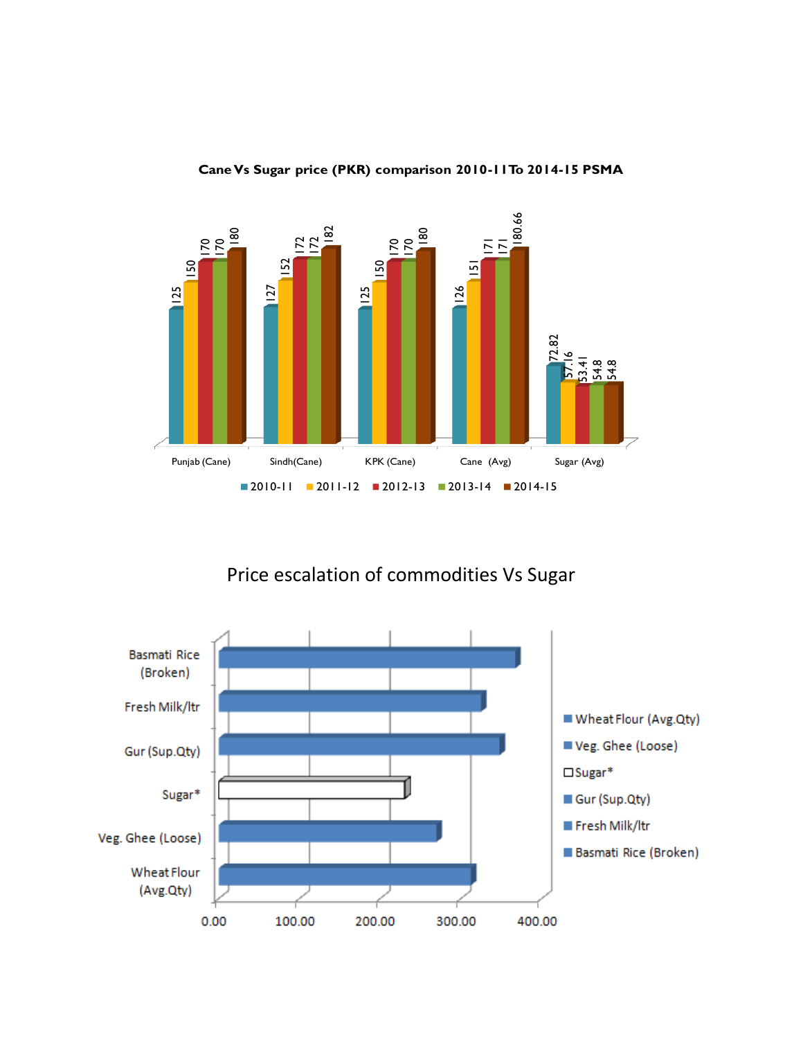

**Cane Vs Sugar price (PKR) comparison 2010-11To 2014-15 PSMA**

Price escalation of commodities Vs Sugar

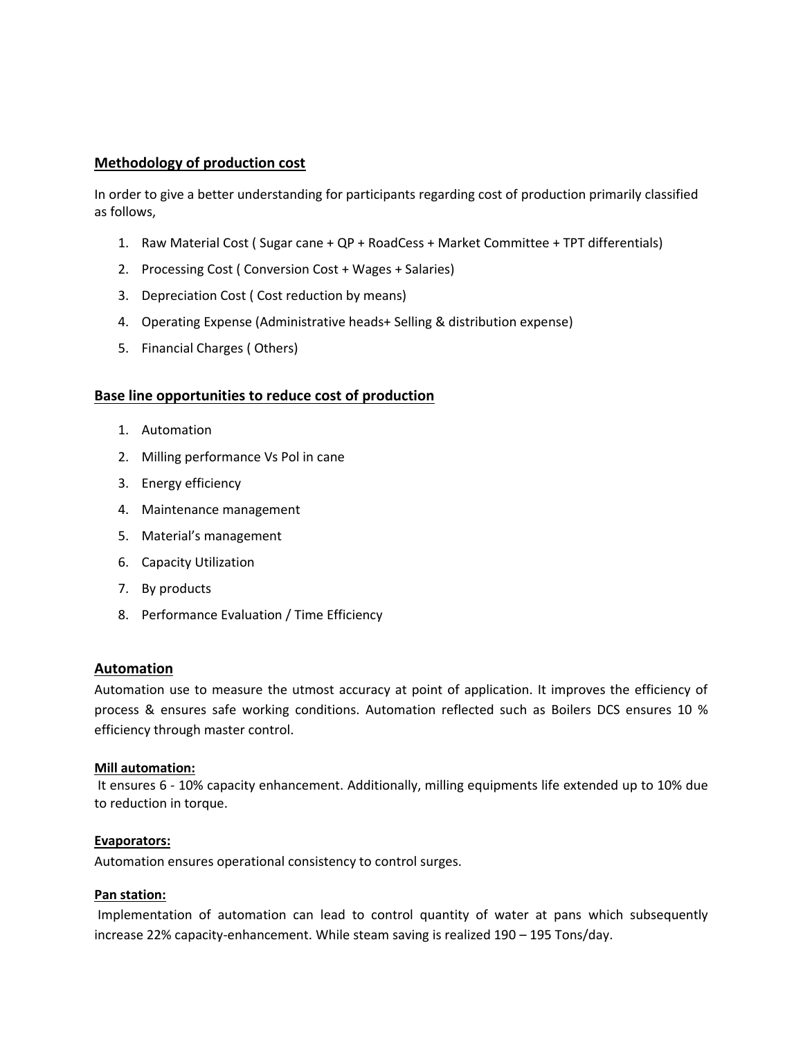### **Methodology of production cost**

In order to give a better understanding for participants regarding cost of production primarily classified as follows,

- 1. Raw Material Cost ( Sugar cane + QP + RoadCess + Market Committee + TPT differentials)
- 2. Processing Cost ( Conversion Cost + Wages + Salaries)
- 3. Depreciation Cost ( Cost reduction by means)
- 4. Operating Expense (Administrative heads+ Selling & distribution expense)
- 5. Financial Charges ( Others)

### **Base line opportunities to reduce cost of production**

- 1. Automation
- 2. Milling performance Vs Pol in cane
- 3. Energy efficiency
- 4. Maintenance management
- 5. Material's management
- 6. Capacity Utilization
- 7. By products
- 8. Performance Evaluation / Time Efficiency

### **Automation**

Automation use to measure the utmost accuracy at point of application. It improves the efficiency of process & ensures safe working conditions. Automation reflected such as Boilers DCS ensures 10 % efficiency through master control.

### **Mill automation:**

It ensures 6 - 10% capacity enhancement. Additionally, milling equipments life extended up to 10% due to reduction in torque.

### **Evaporators:**

Automation ensures operational consistency to control surges.

### **Pan station:**

Implementation of automation can lead to control quantity of water at pans which subsequently increase 22% capacity-enhancement. While steam saving is realized 190 – 195 Tons/day.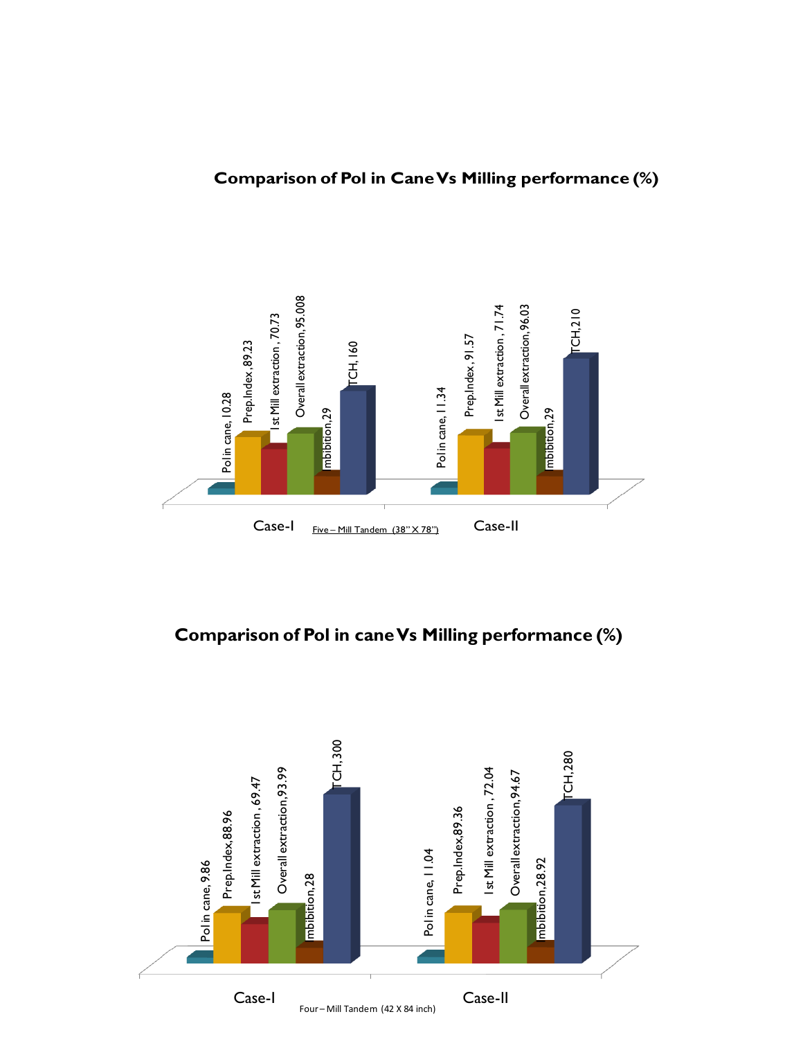

# **Comparison of Pol in cane Vs Milling performance (%)**

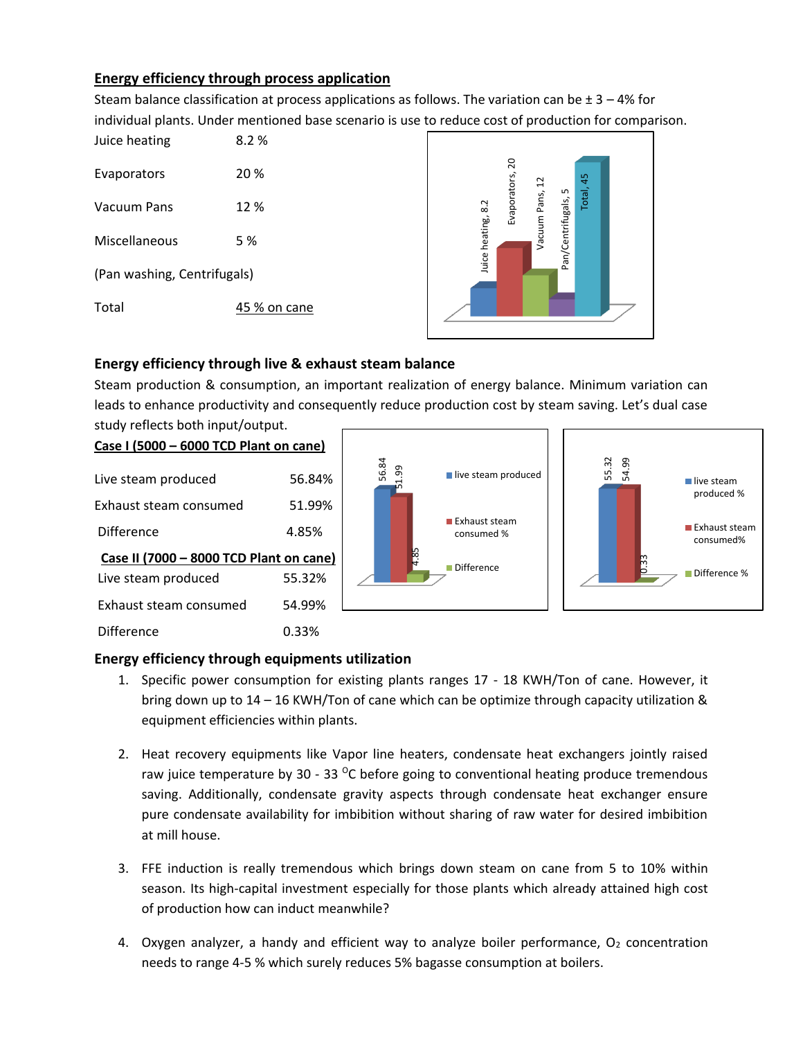# **Energy efficiency through process application**

Steam balance classification at process applications as follows. The variation can be  $\pm$  3 – 4% for individual plants. Under mentioned base scenario is use to reduce cost of production for comparison.

| Juice heating               | 8.2%         |
|-----------------------------|--------------|
| Evaporators                 | 20 %         |
| Vacuum Pans                 | 12%          |
| Miscellaneous               | 5 %          |
| (Pan washing, Centrifugals) |              |
| Total                       | 45 % on cane |



# **Energy efficiency through live & exhaust steam balance**

Steam production & consumption, an important realization of energy balance. Minimum variation can leads to enhance productivity and consequently reduce production cost by steam saving. Let's dual case study reflects both input/output.

### **Case I (5000 – 6000 TCD Plant on cane)**

| Live steam produced                     | 56.84% |
|-----------------------------------------|--------|
| Exhaust steam consumed                  | 51.99% |
| Difference                              | 4.85%  |
| Case II (7000 - 8000 TCD Plant on cane) |        |
| Live steam produced                     | 55.32% |
| Exhaust steam consumed                  | 54.99% |
| Difference                              | 0.33%  |



### **Energy efficiency through equipments utilization**

- 1. Specific power consumption for existing plants ranges 17 18 KWH/Ton of cane. However, it bring down up to 14 – 16 KWH/Ton of cane which can be optimize through capacity utilization & equipment efficiencies within plants.
- 2. Heat recovery equipments like Vapor line heaters, condensate heat exchangers jointly raised raw juice temperature by 30 - 33  $^{\circ}$ C before going to conventional heating produce tremendous saving. Additionally, condensate gravity aspects through condensate heat exchanger ensure pure condensate availability for imbibition without sharing of raw water for desired imbibition at mill house.
- 3. FFE induction is really tremendous which brings down steam on cane from 5 to 10% within season. Its high-capital investment especially for those plants which already attained high cost of production how can induct meanwhile?
- 4. Oxygen analyzer, a handy and efficient way to analyze boiler performance,  $O<sub>2</sub>$  concentration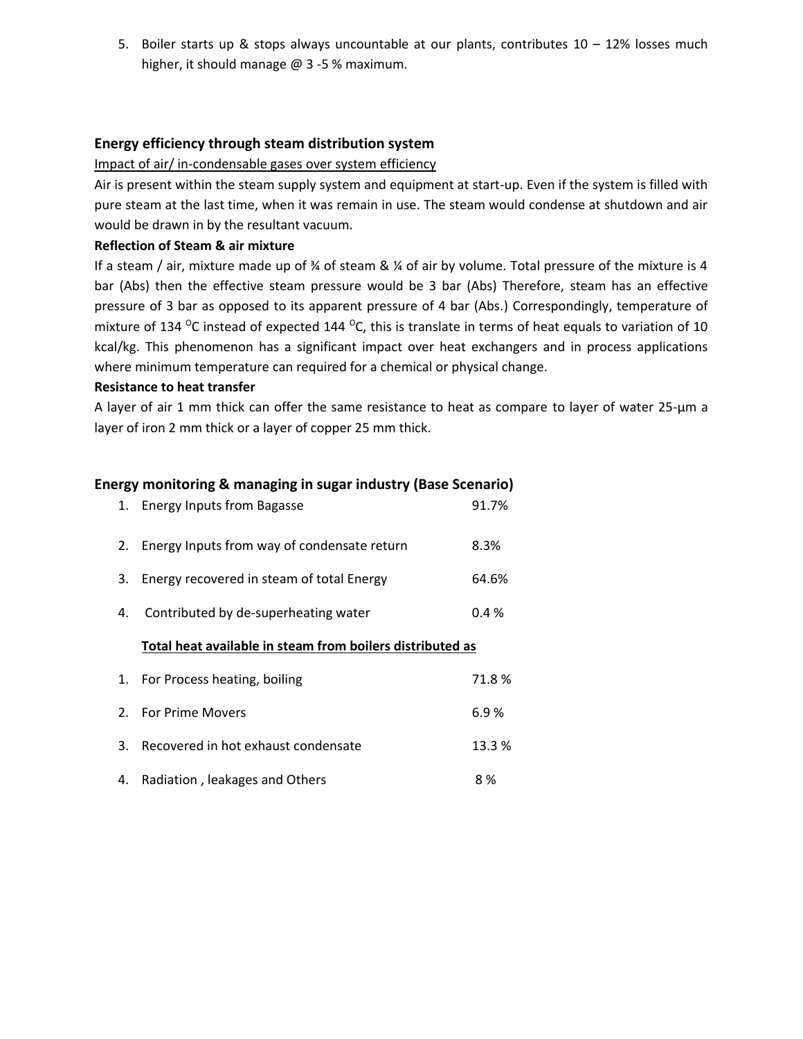5. Boiler starts up & stops always uncountable at our plants, contributes  $10 - 12\%$  losses much higher, it should manage @ 3 -5 % maximum.

## **Energy efficiency through steam distribution system**

Impact of air/ in-condensable gases over system efficiency

Air is present within the steam supply system and equipment at start-up. Even if the system is filled with pure steam at the last time, when it was remain in use. The steam would condense at shutdown and air would be drawn in by the resultant vacuum.

#### **Reflection of Steam & air mixture**

If a steam / air, mixture made up of % of steam & % of air by volume. Total pressure of the mixture is 4 bar (Abs) then the effective steam pressure would be 3 bar (Abs) Therefore, steam has an effective pressure of 3 bar as opposed to its apparent pressure of 4 bar (Abs.) Correspondingly, temperature of mixture of 134  $\degree$ C instead of expected 144  $\degree$ C, this is translate in terms of heat equals to variation of 10 kcal/kg. This phenomenon has a significant impact over heat exchangers and in process applications where minimum temperature can required for a chemical or physical change.

#### **Resistance to heat transfer**

A layer of air 1 mm thick can offer the same resistance to heat as compare to layer of water 25-μm a layer of iron 2 mm thick or a layer of copper 25 mm thick.

### **Energy monitoring & managing in sugar industry (Base Scenario)**

| 1.          | <b>Energy Inputs from Bagasse</b>                         | 91.7%   |
|-------------|-----------------------------------------------------------|---------|
| 2.          | Energy Inputs from way of condensate return               | 8.3%    |
| 3.          | Energy recovered in steam of total Energy                 | 64.6%   |
| 4.          | Contributed by de-superheating water                      | $0.4\%$ |
|             |                                                           |         |
|             | Total heat available in steam from boilers distributed as |         |
| 1.          | For Process heating, boiling                              | 71.8%   |
| $2^{\circ}$ | <b>For Prime Movers</b>                                   | 6.9%    |

4. Radiation, leakages and Others **8 %**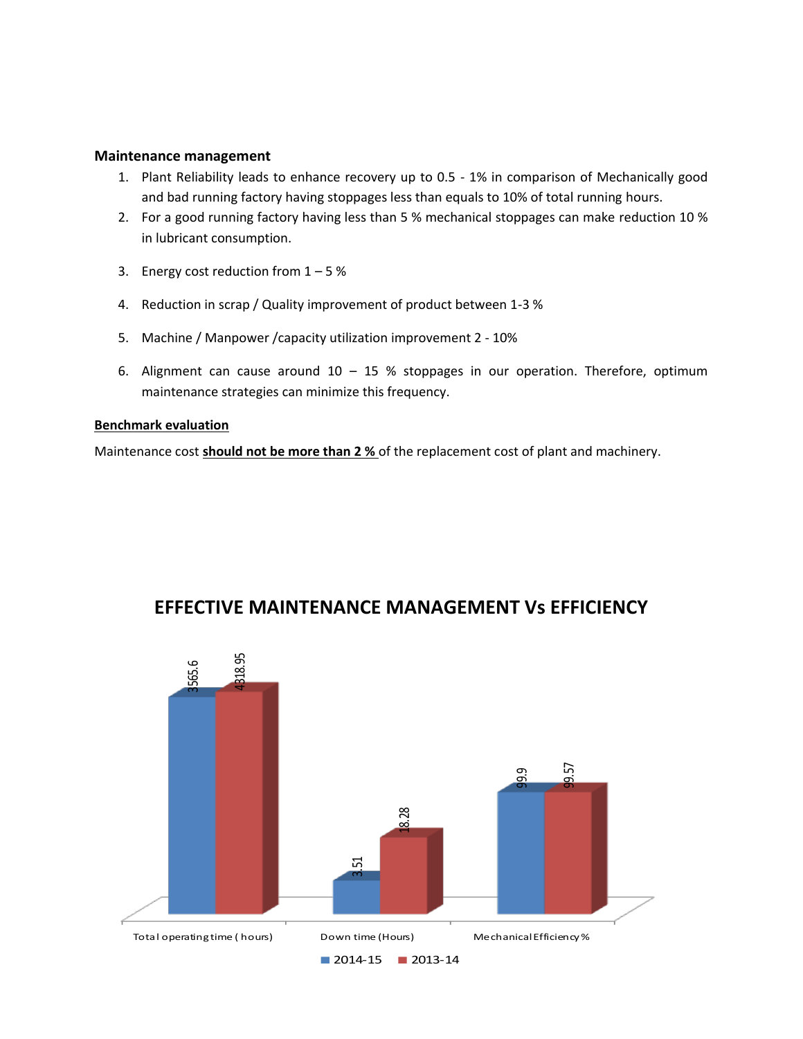#### **Maintenance management**

- 1. Plant Reliability leads to enhance recovery up to 0.5 1% in comparison of Mechanically good and bad running factory having stoppages less than equals to 10% of total running hours.
- 2. For a good running factory having less than 5 % mechanical stoppages can make reduction 10 % in lubricant consumption.
- 3. Energy cost reduction from  $1 5$  %
- 4. Reduction in scrap / Quality improvement of product between 1-3 %
- 5. Machine / Manpower /capacity utilization improvement 2 10%
- 6. Alignment can cause around  $10 15$  % stoppages in our operation. Therefore, optimum maintenance strategies can minimize this frequency.

### **Benchmark evaluation**

Maintenance cost **should not be more than 2 %** of the replacement cost of plant and machinery.



# **EFFECTIVE MAINTENANCE MANAGEMENT Vs EFFICIENCY**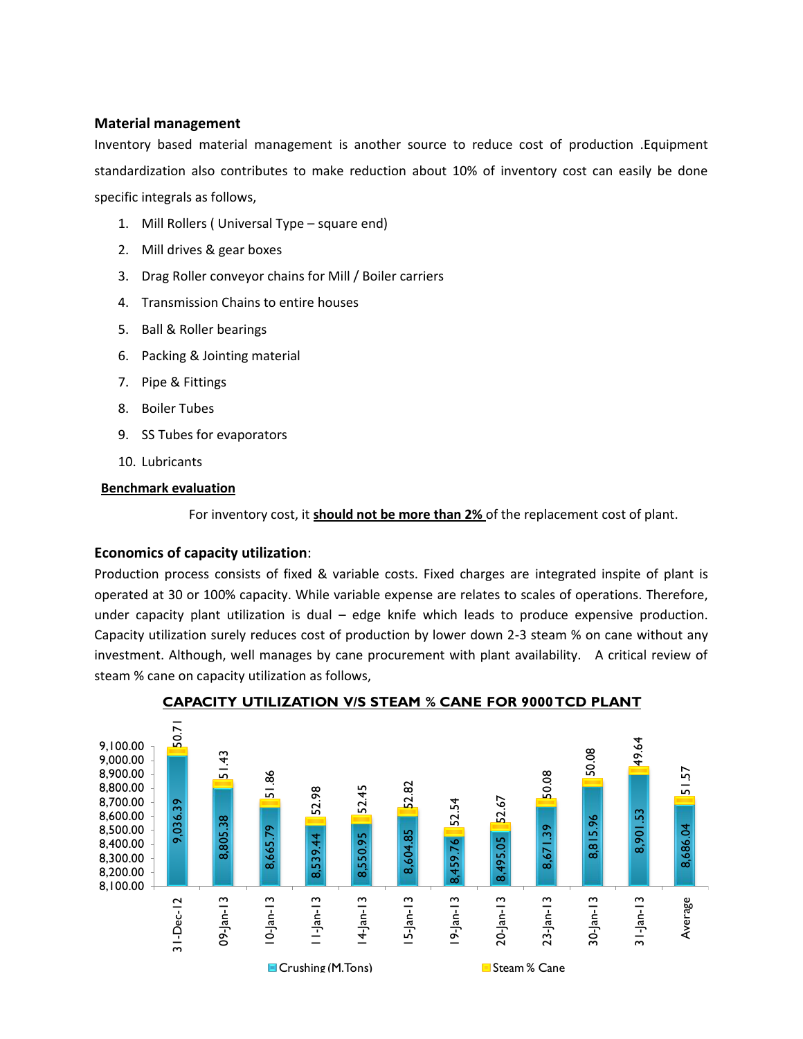### **Material management**

Inventory based material management is another source to reduce cost of production .Equipment standardization also contributes to make reduction about 10% of inventory cost can easily be done specific integrals as follows,

- 1. Mill Rollers ( Universal Type square end)
- 2. Mill drives & gear boxes
- 3. Drag Roller conveyor chains for Mill / Boiler carriers
- 4. Transmission Chains to entire houses
- 5. Ball & Roller bearings
- 6. Packing & Jointing material
- 7. Pipe & Fittings
- 8. Boiler Tubes
- 9. SS Tubes for evaporators
- 10. Lubricants

### **Benchmark evaluation**

For inventory cost, it **should not be more than 2%** of the replacement cost of plant.

### **Economics of capacity utilization**:

Production process consists of fixed & variable costs. Fixed charges are integrated inspite of plant is operated at 30 or 100% capacity. While variable expense are relates to scales of operations. Therefore, under capacity plant utilization is dual – edge knife which leads to produce expensive production. Capacity utilization surely reduces cost of production by lower down 2-3 steam % on cane without any investment. Although, well manages by cane procurement with plant availability. A critical review of steam % cane on capacity utilization as follows,



**CAPACITY UTILIZATION V/S STEAM % CANE FOR 9000 TCD PLANT**